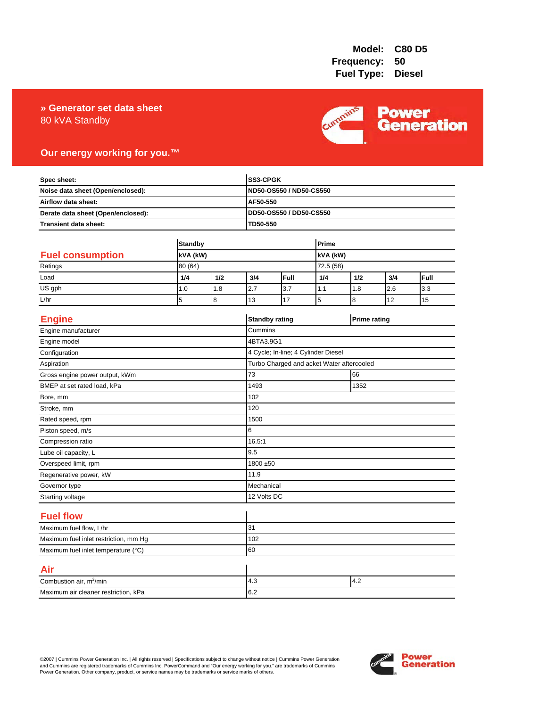### 80 kVA Standby **» Generator set data sheet**



### **Our energy working for you.™**

| Spec sheet:<br>Noise data sheet (Open/enclosed):<br>Airflow data sheet:<br>Derate data sheet (Open/enclosed): |                            |     |                                           | SS3-CPGK<br>ND50-OS550 / ND50-CS550<br>AF50-550 |           |                     |     |      |
|---------------------------------------------------------------------------------------------------------------|----------------------------|-----|-------------------------------------------|-------------------------------------------------|-----------|---------------------|-----|------|
|                                                                                                               |                            |     |                                           |                                                 |           |                     |     |      |
|                                                                                                               |                            |     |                                           |                                                 |           |                     |     |      |
|                                                                                                               |                            |     |                                           | DD50-OS550 / DD50-CS550                         |           |                     |     |      |
| Transient data sheet:                                                                                         |                            |     | TD50-550                                  |                                                 |           |                     |     |      |
|                                                                                                               | <b>Standby</b><br>kVA (kW) |     |                                           | Prime                                           |           |                     |     |      |
| <b>Fuel consumption</b>                                                                                       |                            |     |                                           | kVA (kW)                                        |           |                     |     |      |
| Ratings                                                                                                       | 80 (64)                    |     |                                           |                                                 | 72.5 (58) |                     |     |      |
| Load                                                                                                          | 1/4                        | 1/2 | 3/4                                       | Full                                            | 1/4       | 1/2                 | 3/4 | Full |
| US gph                                                                                                        | 1.0                        | 1.8 | 2.7                                       | 3.7                                             | 1.1       | 1.8                 | 2.6 | 3.3  |
| L/hr                                                                                                          | 5                          | 8   | 13                                        | 17                                              | 5         | 8                   | 12  | 15   |
| <b>Engine</b>                                                                                                 |                            |     |                                           | <b>Standby rating</b>                           |           | <b>Prime rating</b> |     |      |
| Engine manufacturer                                                                                           |                            |     | Cummins                                   |                                                 |           |                     |     |      |
| Engine model                                                                                                  |                            |     | 4BTA3.9G1                                 |                                                 |           |                     |     |      |
| Configuration                                                                                                 |                            |     |                                           | 4 Cycle; In-line; 4 Cylinder Diesel             |           |                     |     |      |
| Aspiration                                                                                                    |                            |     | Turbo Charged and acket Water aftercooled |                                                 |           |                     |     |      |
| Gross engine power output, kWm                                                                                |                            |     | 73                                        | 66                                              |           |                     |     |      |
| BMEP at set rated load, kPa                                                                                   |                            |     | 1493                                      | 1352                                            |           |                     |     |      |
| Bore, mm                                                                                                      |                            |     | 102                                       |                                                 |           |                     |     |      |
| Stroke, mm                                                                                                    |                            |     | 120                                       |                                                 |           |                     |     |      |
| Rated speed, rpm                                                                                              |                            |     | 1500                                      |                                                 |           |                     |     |      |
| Piston speed, m/s                                                                                             |                            |     | 6                                         |                                                 |           |                     |     |      |
| Compression ratio                                                                                             |                            |     | 16.5:1                                    |                                                 |           |                     |     |      |
| Lube oil capacity, L                                                                                          |                            |     | 9.5                                       |                                                 |           |                     |     |      |
| Overspeed limit, rpm                                                                                          |                            |     |                                           | 1800 ±50                                        |           |                     |     |      |
| Regenerative power, kW                                                                                        |                            |     | 11.9                                      |                                                 |           |                     |     |      |
| Governor type                                                                                                 |                            |     |                                           | Mechanical                                      |           |                     |     |      |
| Starting voltage                                                                                              |                            |     | 12 Volts DC                               |                                                 |           |                     |     |      |
| <b>Fuel flow</b>                                                                                              |                            |     |                                           |                                                 |           |                     |     |      |
| Maximum fuel flow, L/hr                                                                                       |                            |     | 31                                        |                                                 |           |                     |     |      |
| Maximum fuel inlet restriction, mm Hg                                                                         |                            |     | 102                                       |                                                 |           |                     |     |      |
| Maximum fuel inlet temperature (°C)                                                                           |                            |     | 60                                        |                                                 |           |                     |     |      |
| Air                                                                                                           |                            |     |                                           |                                                 |           |                     |     |      |
| Combustion air, m <sup>3</sup> /min                                                                           |                            |     | 4.2<br>4.3                                |                                                 |           |                     |     |      |
| Maximum air cleaner restriction, kPa                                                                          |                            |     | 6.2                                       |                                                 |           |                     |     |      |

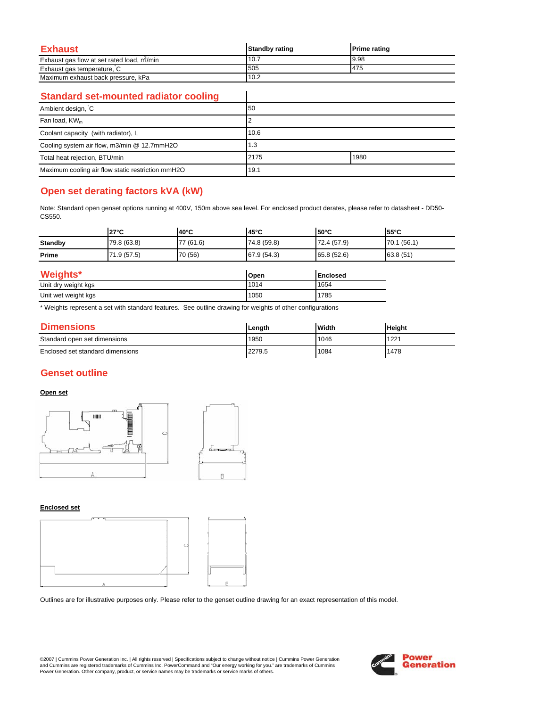| Exhaust                                   | <b>Standby rating</b> | <b>Prime rating</b> |
|-------------------------------------------|-----------------------|---------------------|
| Exhaust gas flow at set rated load, m/min | 10.7                  | 9.98                |
| Exhaust gas temperature, C                | 505                   | 475                 |
| Maximum exhaust back pressure, kPa        | 10.2                  |                     |

 $\overline{\phantom{a}}$ 

### **Standard set-mounted radiator cooling**

| Ambient design, C                                 | 50   |      |  |
|---------------------------------------------------|------|------|--|
| Fan load, KW <sub>m</sub>                         |      |      |  |
| Coolant capacity (with radiator), L               | 10.6 |      |  |
| Cooling system air flow, m3/min @ 12.7mmH2O       | 1.3  |      |  |
| Total heat rejection, BTU/min                     | 2175 | 1980 |  |
| Maximum cooling air flow static restriction mmH2O | 19.1 |      |  |

# **Open set derating factors kVA (kW)**

Note: Standard open genset options running at 400V, 150m above sea level. For enclosed product derates, please refer to datasheet - DD50- CS550.

|                | $27^{\circ}$ C | $40^{\circ}$ C | $45^{\circ}$ C | $50^{\circ}$ C  | 55°C        |
|----------------|----------------|----------------|----------------|-----------------|-------------|
| <b>Standby</b> | 79.8 (63.8)    | 77 (61.6)      | 74.8 (59.8)    | 72.4 (57.9)     | 70.1 (56.1) |
| Prime          | 71.9 (57.5)    | 70 (56)        | 67.9 (54.3)    | 65.8 (52.6)     | 63.8 (51)   |
| Weights*       |                |                | Open           | <b>Enclosed</b> |             |

| 1151                | TODEN | TENGIOSEG |
|---------------------|-------|-----------|
| Unit dry weight kgs | 1014  | 1654      |
| Unit wet weight kgs | 1050  | 785       |

\* Weights represent a set with standard features. See outline drawing for weights of other configurations

| <b>Dimensions</b>                | Lenath | <b>Width</b> | <b>Height</b> |
|----------------------------------|--------|--------------|---------------|
| Standard open set dimensions     | 1950   | 1046         | 1221          |
| Enclosed set standard dimensions | 2279.5 | 1084         | 1478          |

### **Genset outline**

### **Open set**



#### **Enclosed set**



Outlines are for illustrative purposes only. Please refer to the genset outline drawing for an exact representation of this model.

©2007 | Cummins Power Generation Inc. | All rights reserved | Specifications subject to change without notice | Cummins Power Generation and Cummins are registered trademarks of Cummins Inc. PowerCommand and "Our energy working for you." are trademarks of Cummins<br>Power Generation. Other company, product, or service names may be trademarks or service marks o